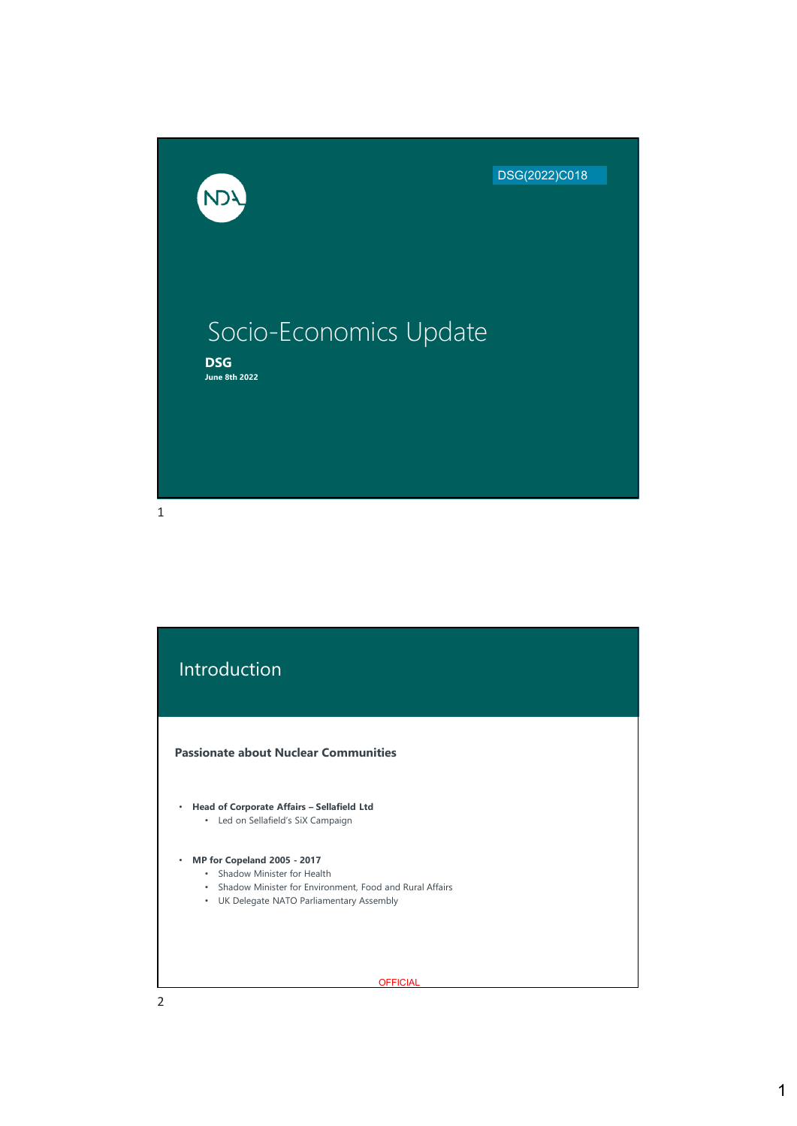

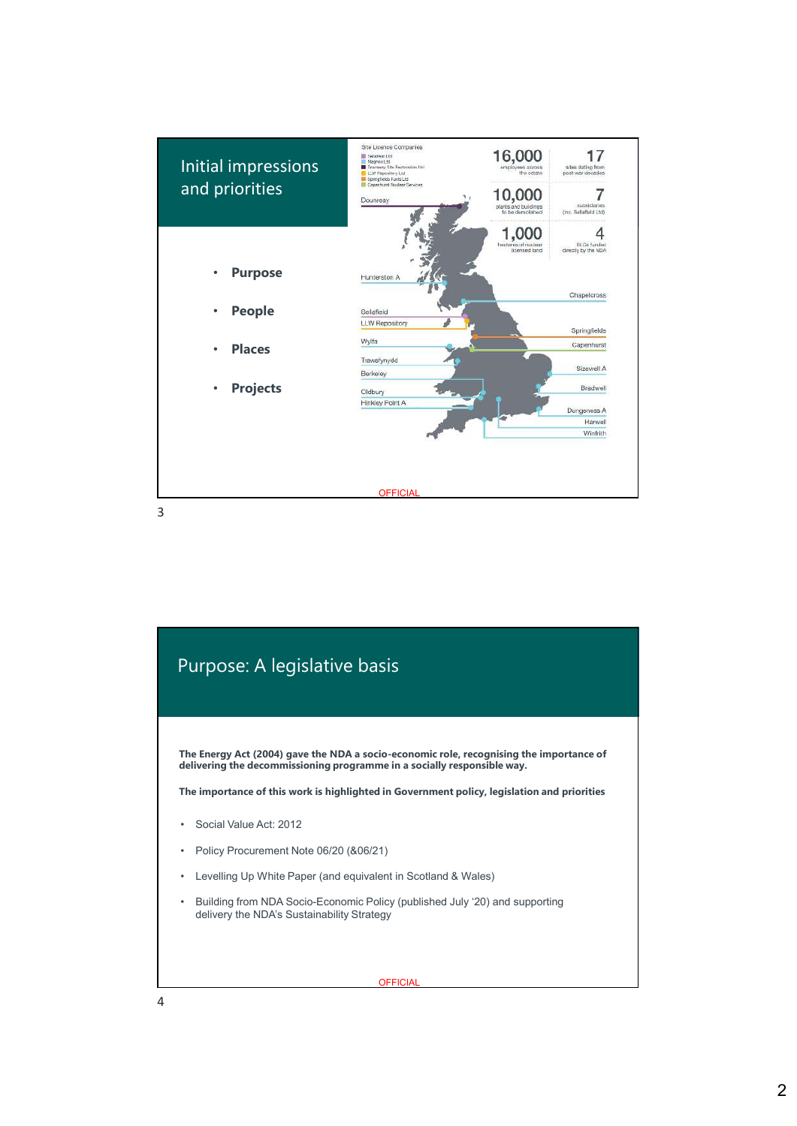

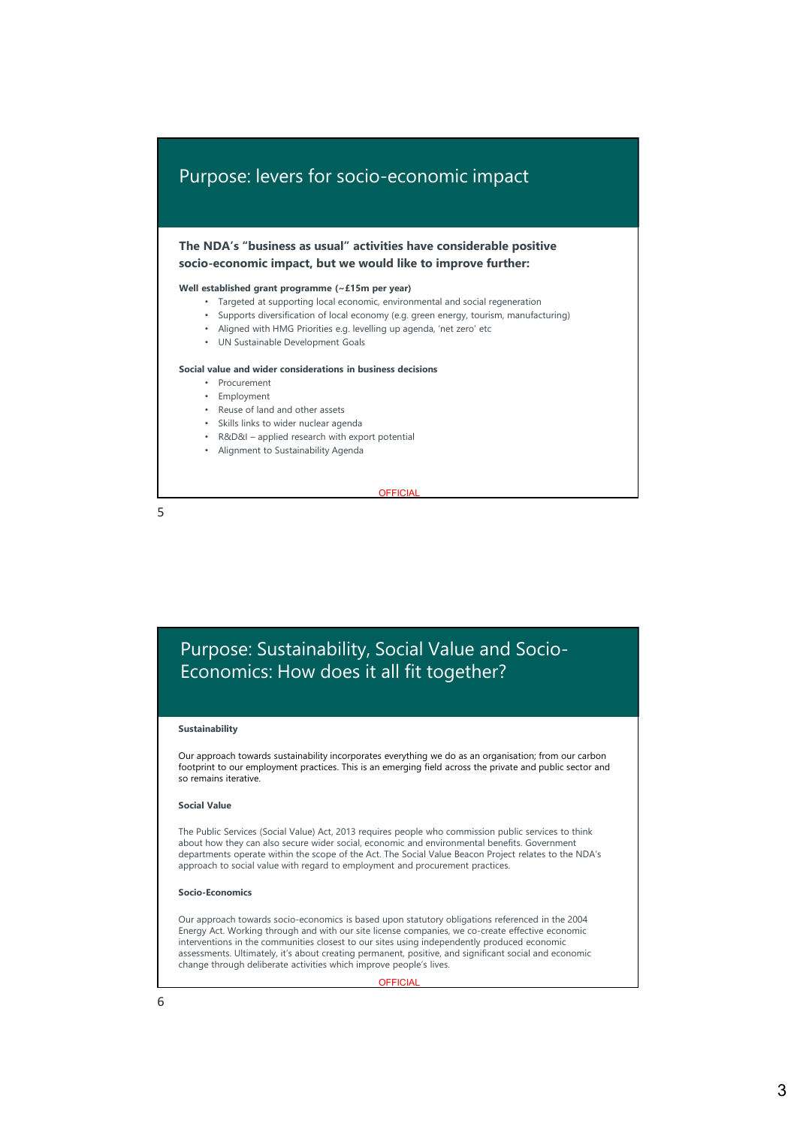# Purpose: levers for socio-economic impact

**The NDA's "business as usual" activities have considerable positive socio-economic impact, but we would like to improve further:**

## **Well established grant programme (~£15m per year)**

- Targeted at supporting local economic, environmental and social regeneration
- Supports diversification of local economy (e.g. green energy, tourism, manufacturing)
- Aligned with HMG Priorities e.g. levelling up agenda, 'net zero' etc
- UN Sustainable Development Goals

## **Social value and wider considerations in business decisions**

- Procurement
- Employment
- Reuse of land and other assets
- Skills links to wider nuclear agenda
- R&D&I applied research with export potential
- Alignment to Sustainability Agenda

**OFFICIAL** 

5

# Purpose: Sustainability, Social Value and Socio-Economics: How does it all fit together?

### **Sustainability**

Our approach towards sustainability incorporates everything we do as an organisation; from our carbon footprint to our employment practices. This is an emerging field across the private and public sector and so remains iterative.

#### **Social Value**

The Public Services (Social Value) Act, 2013 requires people who commission public services to think about how they can also secure wider social, economic and environmental benefits. Government departments operate within the scope of the Act. The Social Value Beacon Project relates to the NDA's approach to social value with regard to employment and procurement practices.

#### **Socio-Economics**

Our approach towards socio-economics is based upon statutory obligations referenced in the 2004 Energy Act. Working through and with our site license companies, we co-create effective economic interventions in the communities closest to our sites using independently produced economic assessments. Ultimately, it's about creating permanent, positive, and significant social and economic change through deliberate activities which improve people's lives.

#### **OFFICIA**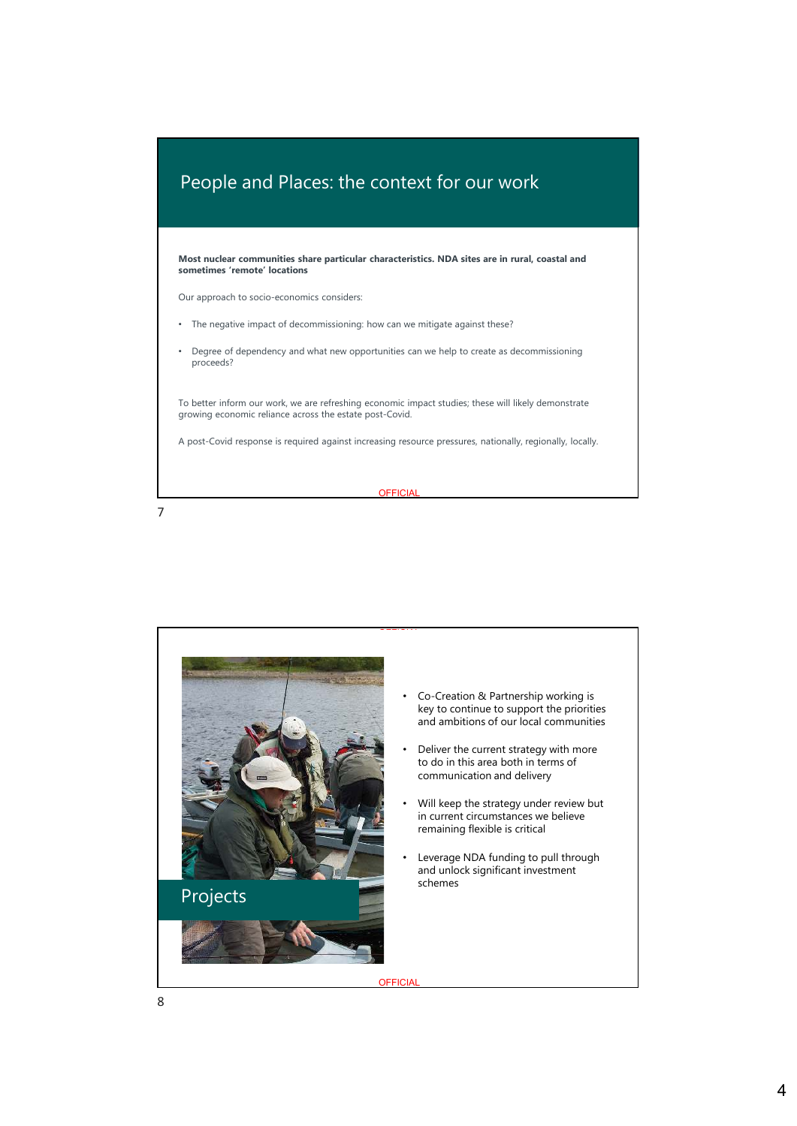

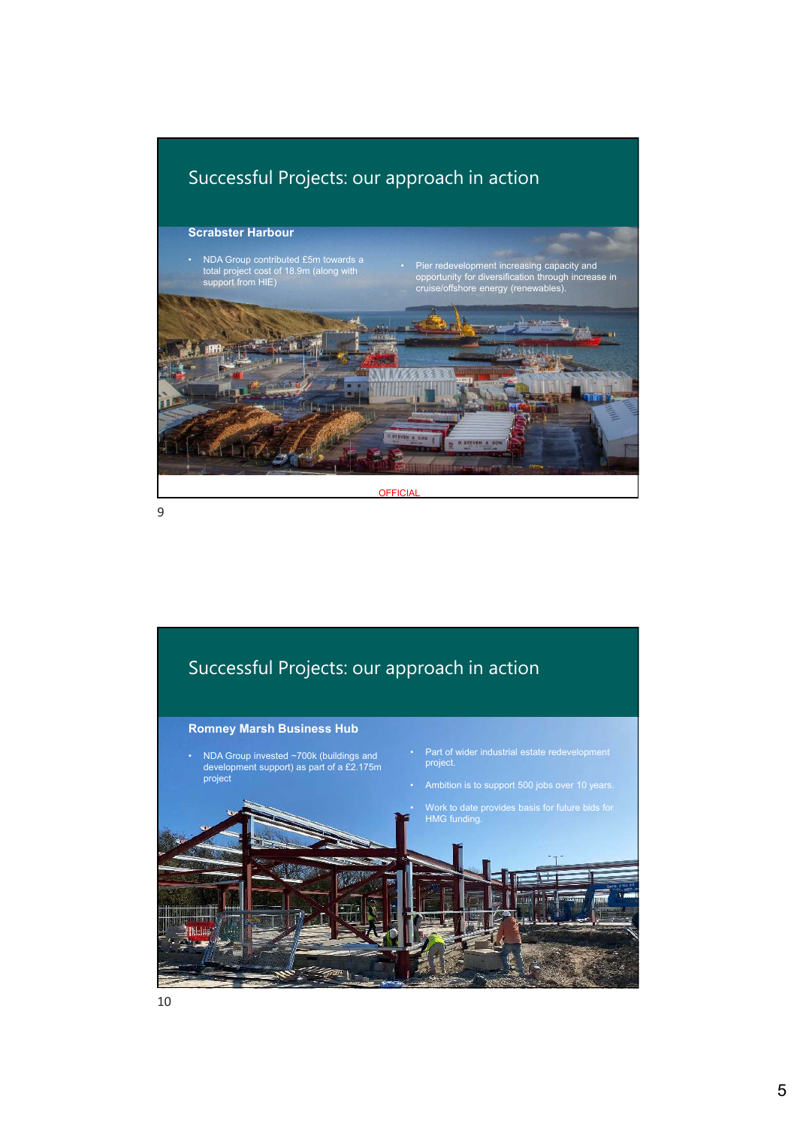



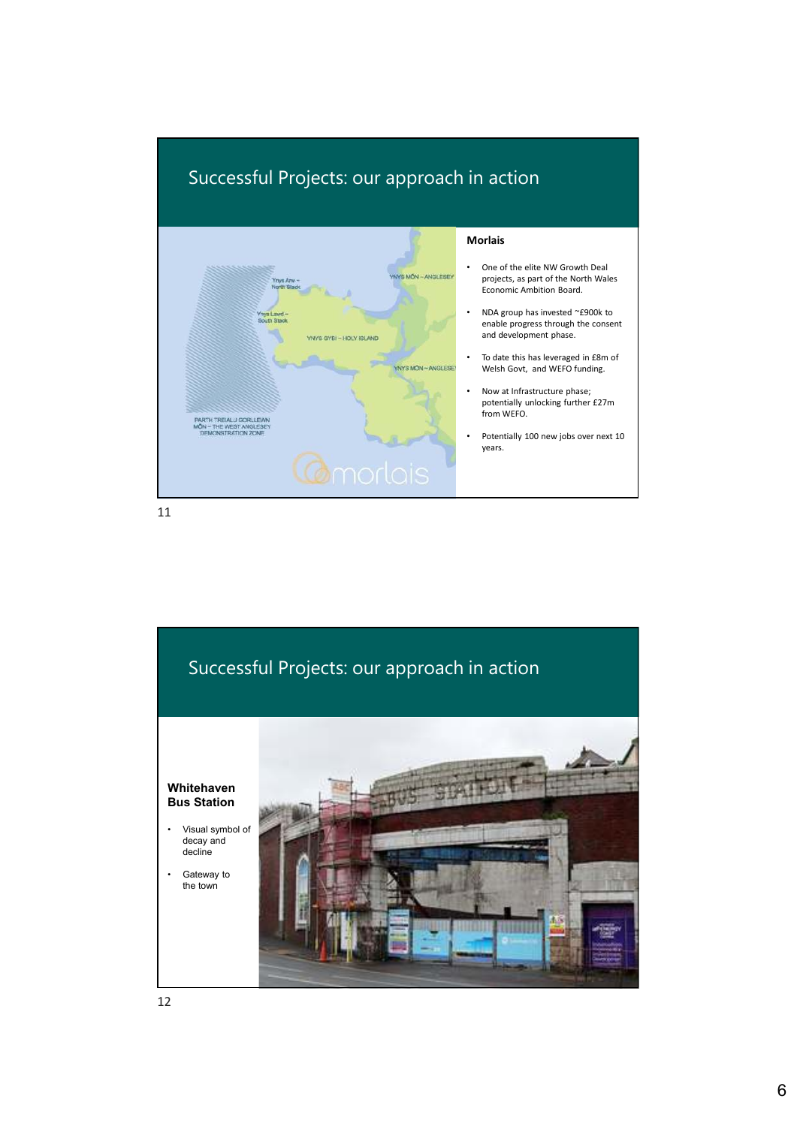

11